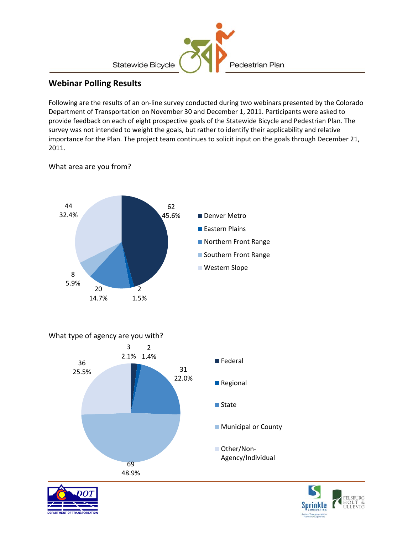

## **Webinar Polling Results**

Following are the results of an on‐line survey conducted during two webinars presented by the Colorado Department of Transportation on November 30 and December 1, 2011. Participants were asked to provide feedback on each of eight prospective goals of the Statewide Bicycle and Pedestrian Plan. The survey was not intended to weight the goals, but rather to identify their applicability and relative importance for the Plan. The project team continues to solicit input on the goals through December 21, 2011.



## What area are you from?

What type of agency are you with?





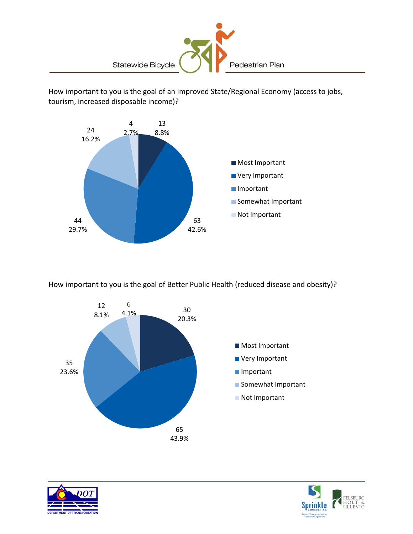

How important to you is the goal of an Improved State/Regional Economy (access to jobs, tourism, increased disposable income)?



How important to you is the goal of Better Public Health (reduced disease and obesity)?





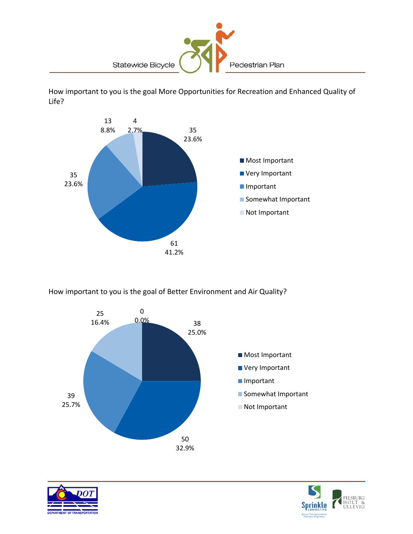

How important to you is the goal More Opportunities for Recreation and Enhanced Quality of Life?



How important to you is the goal of Better Environment and Air Quality?





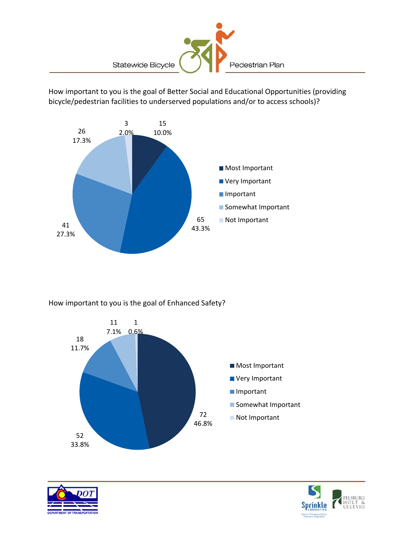

How important to you is the goal of Better Social and Educational Opportunities (providing bicycle/pedestrian facilities to underserved populations and/or to access schools)?



How important to you is the goal of Enhanced Safety?





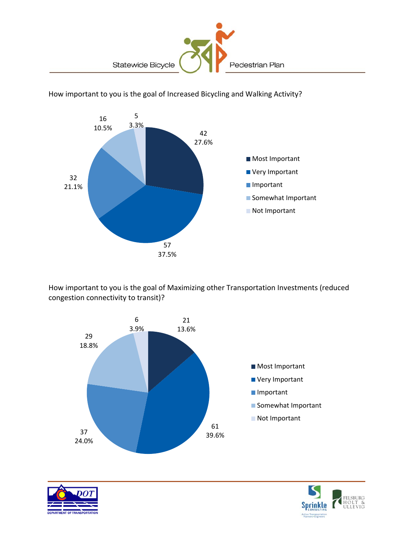

42 27.6% 57 37.5% 32 21.1% 16 10.5% 5 3.3% ■ Most Important **Very Important Important** Somewhat Important Not Important

How important to you is the goal of Increased Bicycling and Walking Activity?

How important to you is the goal of Maximizing other Transportation Investments (reduced congestion connectivity to transit)?